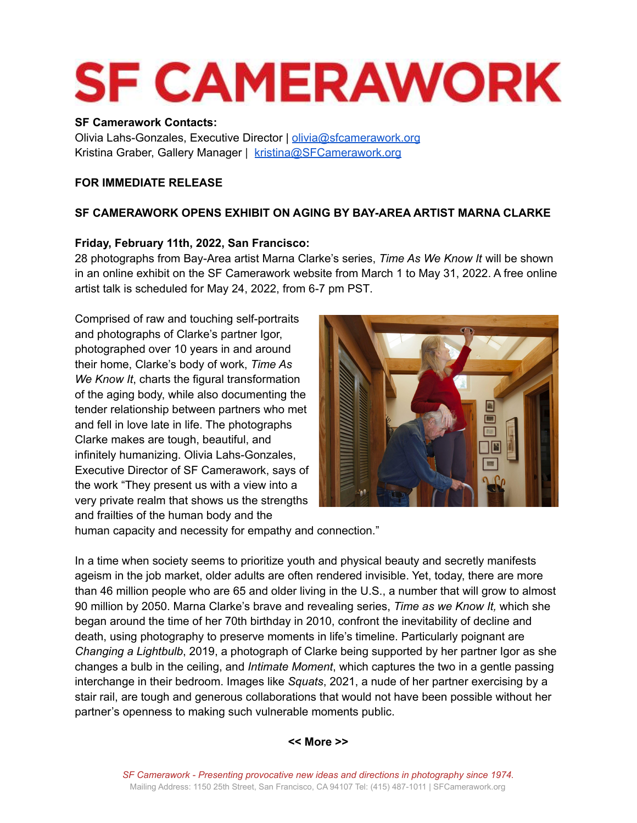# **SF CAMERAWORK**

#### **SF Camerawork Contacts:**

Olivia Lahs-Gonzales, Executive Director | [olivia@sfcamerawork.org](mailto:olivia@sfcamerawork.org) Kristina Graber, Gallery Manager | [kristina@SFCamerawork.org](mailto:kristina@SFCamerawork.org)

# **FOR IMMEDIATE RELEASE**

# **SF CAMERAWORK OPENS EXHIBIT ON AGING BY BAY-AREA ARTIST MARNA CLARKE**

## **Friday, February 11th, 2022, San Francisco:**

28 photographs from Bay-Area artist Marna Clarke's series, *Time As We Know It* will be shown in an online exhibit on the SF Camerawork website from March 1 to May 31, 2022. A free online artist talk is scheduled for May 24, 2022, from 6-7 pm PST.

Comprised of raw and touching self-portraits and photographs of Clarke's partner Igor, photographed over 10 years in and around their home, Clarke's body of work, *Time As We Know It*, charts the figural transformation of the aging body, while also documenting the tender relationship between partners who met and fell in love late in life. The photographs Clarke makes are tough, beautiful, and infinitely humanizing. Olivia Lahs-Gonzales, Executive Director of SF Camerawork, says of the work "They present us with a view into a very private realm that shows us the strengths and frailties of the human body and the



human capacity and necessity for empathy and connection."

In a time when society seems to prioritize youth and physical beauty and secretly manifests ageism in the job market, older adults are often rendered invisible. Yet, today, there are more than 46 million people who are 65 and older living in the U.S., a number that will grow to almost 90 million by 2050. Marna Clarke's brave and revealing series, *Time as we Know It,* which she began around the time of her 70th birthday in 2010, confront the inevitability of decline and death, using photography to preserve moments in life's timeline. Particularly poignant are *Changing a Lightbulb*, 2019, a photograph of Clarke being supported by her partner Igor as she changes a bulb in the ceiling, and *Intimate Moment*, which captures the two in a gentle passing interchange in their bedroom. Images like *Squats*, 2021, a nude of her partner exercising by a stair rail, are tough and generous collaborations that would not have been possible without her partner's openness to making such vulnerable moments public.

#### **<< More >>**